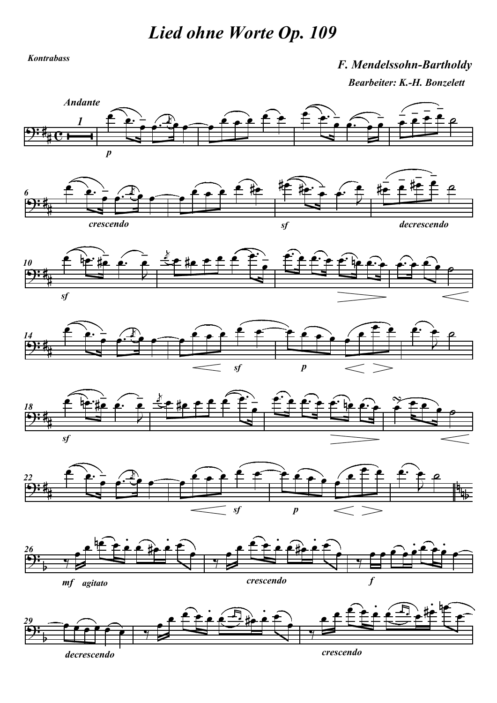Lied ohne Worte Op. 109

Kontrabass

## F. Mendelssohn-Bartholdy Bearbeiter: K.-H. Bonzelett